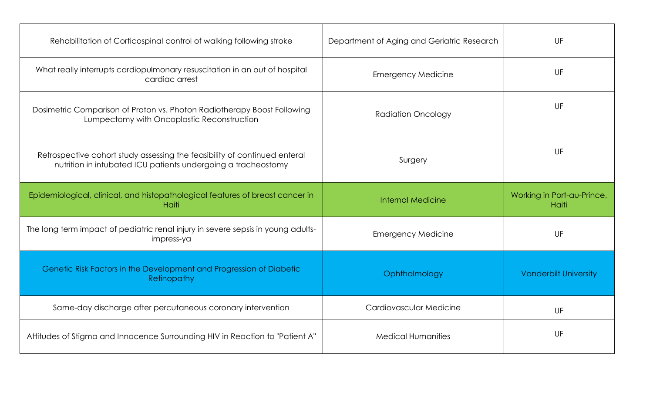| Rehabilitation of Corticospinal control of walking following stroke                                                                        | Department of Aging and Geriatric Research | UF                                  |
|--------------------------------------------------------------------------------------------------------------------------------------------|--------------------------------------------|-------------------------------------|
| What really interrupts cardiopulmonary resuscitation in an out of hospital<br>cardiac arrest                                               | <b>Emergency Medicine</b>                  | UF                                  |
| Dosimetric Comparison of Proton vs. Photon Radiotherapy Boost Following<br>Lumpectomy with Oncoplastic Reconstruction                      | <b>Radiation Oncology</b>                  | UF                                  |
| Retrospective cohort study assessing the feasibility of continued enteral<br>nutrition in intubated ICU patients undergoing a tracheostomy | Surgery                                    | UF                                  |
| Epidemiological, clinical, and histopathological features of breast cancer in<br>Haiti                                                     | <b>Internal Medicine</b>                   | Working in Port-au-Prince,<br>Haiti |
| The long term impact of pediatric renal injury in severe sepsis in young adults-<br>impress-ya                                             | <b>Emergency Medicine</b>                  | UF                                  |
| Genetic Risk Factors in the Development and Progression of Diabetic<br>Retinopathy                                                         | Ophthalmology                              | <b>Vanderbilt University</b>        |
| Same-day discharge after percutaneous coronary intervention                                                                                | Cardiovascular Medicine                    | UF                                  |
| Attitudes of Stigma and Innocence Surrounding HIV in Reaction to "Patient A"                                                               | <b>Medical Humanities</b>                  | <b>UF</b>                           |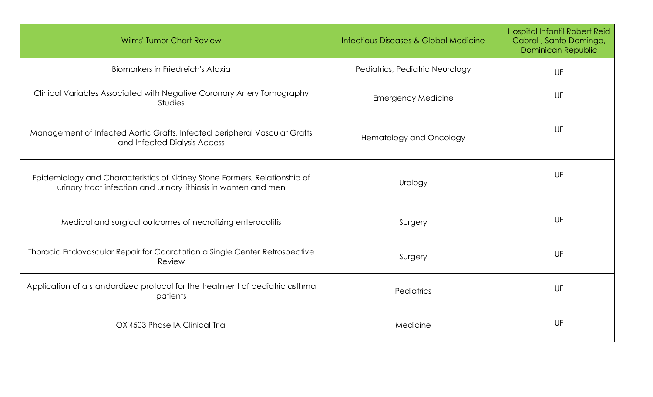| <b>Wilms' Tumor Chart Review</b>                                                                                                            | <b>Infectious Diseases &amp; Global Medicine</b> | Hospital Infantil Robert Reid<br>Cabral, Santo Domingo,<br>Dominican Republic |
|---------------------------------------------------------------------------------------------------------------------------------------------|--------------------------------------------------|-------------------------------------------------------------------------------|
| Biomarkers in Friedreich's Ataxia                                                                                                           | Pediatrics, Pediatric Neurology                  | UF                                                                            |
| Clinical Variables Associated with Negative Coronary Artery Tomography<br><b>Studies</b>                                                    | <b>Emergency Medicine</b>                        | UF                                                                            |
| Management of Infected Aortic Grafts, Infected peripheral Vascular Grafts<br>and Infected Dialysis Access                                   | <b>Hematology and Oncology</b>                   | UF                                                                            |
| Epidemiology and Characteristics of Kidney Stone Formers, Relationship of<br>urinary tract infection and urinary lithiasis in women and men | Urology                                          | UF                                                                            |
| Medical and surgical outcomes of necrotizing enterocolitis                                                                                  | Surgery                                          | UF                                                                            |
| Thoracic Endovascular Repair for Coarctation a Single Center Retrospective<br>Review                                                        | Surgery                                          | UF                                                                            |
| Application of a standardized protocol for the treatment of pediatric asthma<br>patients                                                    | Pediatrics                                       | UF                                                                            |
| OXi4503 Phase IA Clinical Trial                                                                                                             | Medicine                                         | UF                                                                            |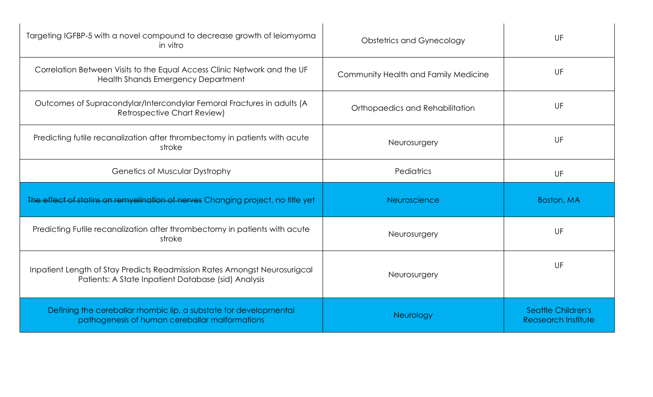| Targeting IGFBP-5 with a novel compound to decrease growth of leiomyoma<br>in vitro                                              | <b>Obstetrics and Gynecology</b>     | UF                                               |
|----------------------------------------------------------------------------------------------------------------------------------|--------------------------------------|--------------------------------------------------|
| Correlation Between Visits to the Equal Access Clinic Network and the UF<br>Health Shands Emergency Department                   | Community Health and Family Medicine | UF                                               |
| Outcomes of Supracondylar/Intercondylar Femoral Fractures in adults (A<br><b>Retrospective Chart Review)</b>                     | Orthopaedics and Rehabilitation      | UF                                               |
| Predicting futile recandization after thrombectomy in patients with acute<br>stroke                                              | Neurosurgery                         | UF                                               |
| <b>Genetics of Muscular Dystrophy</b>                                                                                            | Pediatrics                           | UF                                               |
| The effect of statins on remyelination of nerves Changing project, no title yet                                                  | Neuroscience                         | Boston, MA                                       |
| Predicting Futile recandization after thrombectomy in patients with acute<br>stroke                                              | Neurosurgery                         | UF                                               |
| Inpatient Length of Stay Predicts Readmission Rates Amongst Neurosurigcal<br>Patients: A State Inpatient Database (sid) Analysis | Neurosurgery                         | UF                                               |
| Defining the cereballar rhombic lip, a substate for developmental<br>pathogenesis of human cereballar malformations              | Neurology                            | <b>Seattle Children's</b><br>Reasearch Institute |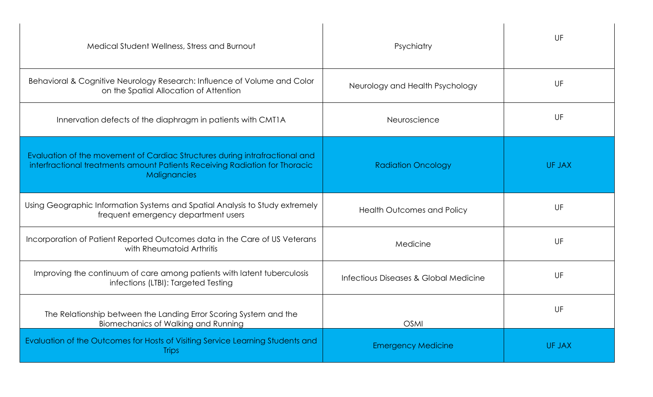| Medical Student Wellness, Stress and Burnout                                                                                                                               | Psychiatry                            | UF     |
|----------------------------------------------------------------------------------------------------------------------------------------------------------------------------|---------------------------------------|--------|
| Behavioral & Cognitive Neurology Research: Influence of Volume and Color<br>on the Spatial Allocation of Attention                                                         | Neurology and Health Psychology       | UF     |
| Innervation defects of the diaphragm in patients with CMT1A                                                                                                                | Neuroscience                          | UF     |
| Evaluation of the movement of Cardiac Structures during intrafractional and<br>interfractional treatments amount Patients Receiving Radiation for Thoracic<br>Malignancies | <b>Radiation Oncology</b>             | UF JAX |
| Using Geographic Information Systems and Spatial Analysis to Study extremely<br>frequent emergency department users                                                        | <b>Health Outcomes and Policy</b>     | UF     |
| Incorporation of Patient Reported Outcomes data in the Care of US Veterans<br>with Rheumatoid Arthritis                                                                    | Medicine                              | UF     |
| Improving the continuum of care among patients with latent tuberculosis<br>infections (LTBI): Targeted Testing                                                             | Infectious Diseases & Global Medicine | UF     |
| The Relationship between the Landing Error Scoring System and the<br>Biomechanics of Walking and Running                                                                   | <b>OSMI</b>                           | UF     |
| Evaluation of the Outcomes for Hosts of Visiting Service Learning Students and<br><b>Trips</b>                                                                             | <b>Emergency Medicine</b>             | UF JAX |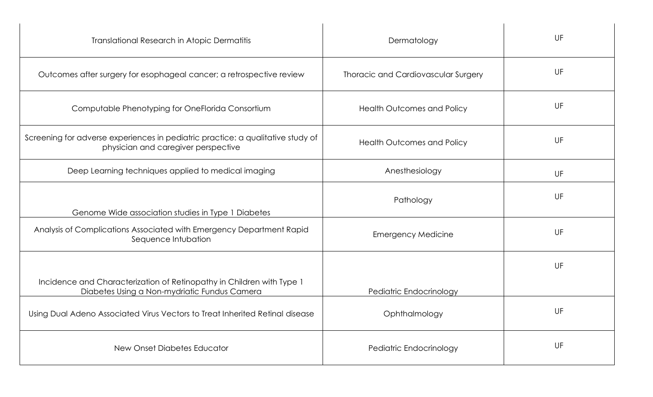| <b>Translational Research in Atopic Dermatitis</b>                                                                     | Dermatology                         | UF |
|------------------------------------------------------------------------------------------------------------------------|-------------------------------------|----|
| Outcomes after surgery for esophageal cancer; a retrospective review                                                   | Thoracic and Cardiovascular Surgery | UF |
| Computable Phenotyping for OneFlorida Consortium                                                                       | <b>Health Outcomes and Policy</b>   | UF |
| Screening for adverse experiences in pediatric practice: a qualitative study of<br>physician and caregiver perspective | <b>Health Outcomes and Policy</b>   | UF |
| Deep Learning techniques applied to medical imaging                                                                    | Anesthesiology                      | UF |
| Genome Wide association studies in Type 1 Diabetes                                                                     | Pathology                           | UF |
| Analysis of Complications Associated with Emergency Department Rapid<br>Sequence Intubation                            | <b>Emergency Medicine</b>           | UF |
|                                                                                                                        |                                     | UF |
| Incidence and Characterization of Retinopathy in Children with Type 1<br>Diabetes Using a Non-mydriatic Fundus Camera  | Pediatric Endocrinology             |    |
| Using Dual Adeno Associated Virus Vectors to Treat Inherited Retinal disease                                           | Ophthalmology                       | UF |
| New Onset Diabetes Educator                                                                                            | Pediatric Endocrinology             | UF |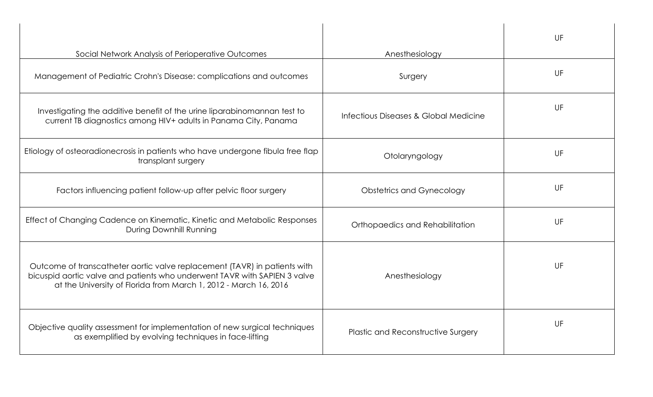|                                                                                                                                                                                                                            |                                           | UF |
|----------------------------------------------------------------------------------------------------------------------------------------------------------------------------------------------------------------------------|-------------------------------------------|----|
| Social Network Analysis of Perioperative Outcomes                                                                                                                                                                          | Anesthesiology                            | UF |
| Management of Pediatric Crohn's Disease: complications and outcomes                                                                                                                                                        | Surgery                                   |    |
| Investigating the additive benefit of the urine liparabinomannan test to<br>current TB diagnostics among HIV+ adults in Panama City, Panama                                                                                | Infectious Diseases & Global Medicine     | UF |
| Etiology of osteoradionecrosis in patients who have undergone fibula free flap<br>transplant surgery                                                                                                                       | Otolaryngology                            | UF |
| Factors influencing patient follow-up after pelvic floor surgery                                                                                                                                                           | <b>Obstetrics and Gynecology</b>          | UF |
| Effect of Changing Cadence on Kinematic, Kinetic and Metabolic Responses<br>During Downhill Running                                                                                                                        | Orthopaedics and Rehabilitation           | UF |
| Outcome of transcatheter aortic valve replacement (TAVR) in patients with<br>bicuspid aortic valve and patients who underwent TAVR with SAPIEN 3 valve<br>at the University of Florida from March 1, 2012 - March 16, 2016 | Anesthesiology                            | UF |
| Objective quality assessment for implementation of new surgical techniques<br>as exemplified by evolving techniques in face-lifting                                                                                        | <b>Plastic and Reconstructive Surgery</b> | UF |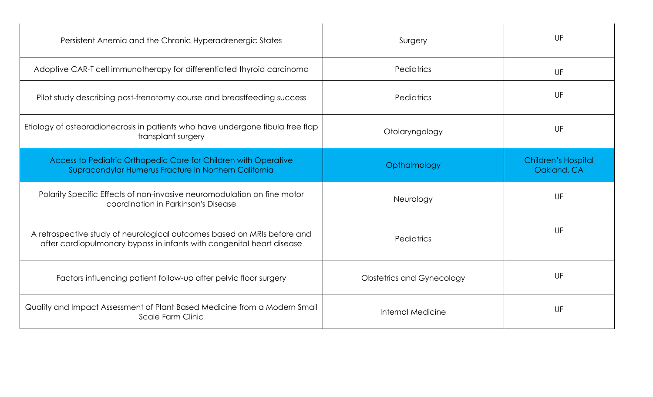| Surgery                          | UF                                        |
|----------------------------------|-------------------------------------------|
| Pediatrics                       | UF                                        |
| Pediatrics                       | UF                                        |
| Otolaryngology                   | UF                                        |
| Opthalmology                     | <b>Children's Hospital</b><br>Oakland, CA |
| Neurology                        | UF                                        |
| Pediatrics                       | UF                                        |
| <b>Obstetrics and Gynecology</b> | UF                                        |
|                                  |                                           |
|                                  |                                           |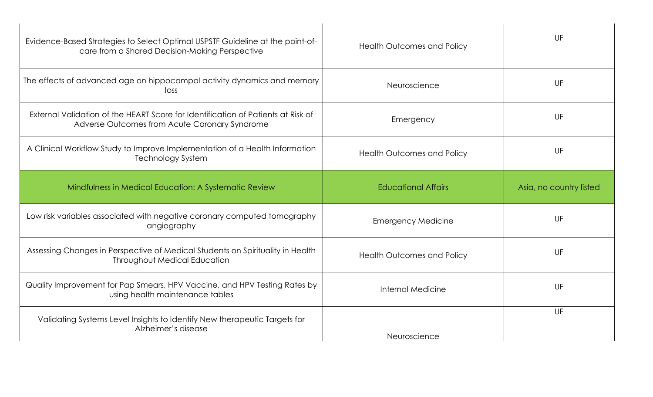| Evidence-Based Strategies to Select Optimal USPSTF Guideline at the point-of-<br>care from a Shared Decision-Making Perspective   | <b>Health Outcomes and Policy</b> | UF                      |
|-----------------------------------------------------------------------------------------------------------------------------------|-----------------------------------|-------------------------|
| The effects of advanced age on hippocampal activity dynamics and memory<br>loss                                                   | Neuroscience                      | UF                      |
| External Validation of the HEART Score for Identification of Patients at Risk of<br>Adverse Outcomes from Acute Coronary Syndrome | Emergency                         | UF                      |
| A Clinical Workflow Study to Improve Implementation of a Health Information<br><b>Technology System</b>                           | <b>Health Outcomes and Policy</b> | UF                      |
| Mindfulness in Medical Education: A Systematic Review                                                                             | <b>Educational Affairs</b>        | Asia, no country listed |
| Low risk variables associated with negative coronary computed tomography<br>angiography                                           | <b>Emergency Medicine</b>         | UF                      |
|                                                                                                                                   |                                   |                         |
| Assessing Changes in Perspective of Medical Students on Spirituality in Health<br><b>Throughout Medical Education</b>             | <b>Health Outcomes and Policy</b> | UF                      |
| Quality Improvement for Pap Smears, HPV Vaccine, and HPV Testing Rates by<br>using health maintenance tables                      | Internal Medicine                 | UF                      |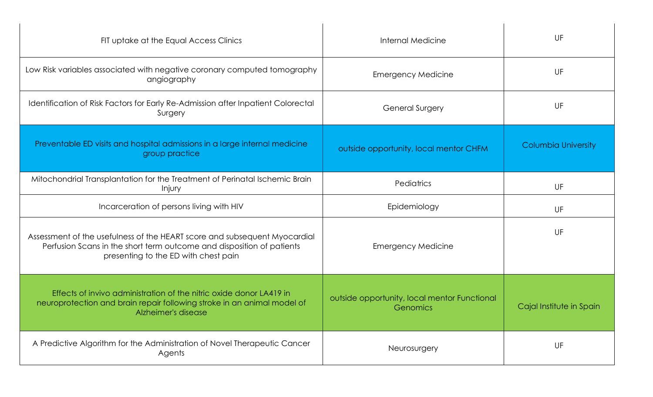| FIT uptake at the Equal Access Clinics                                                                                                                                                     | <b>Internal Medicine</b>                                 | UF                         |
|--------------------------------------------------------------------------------------------------------------------------------------------------------------------------------------------|----------------------------------------------------------|----------------------------|
| Low Risk variables associated with negative coronary computed tomography<br>angiography                                                                                                    | <b>Emergency Medicine</b>                                | UF                         |
| Identification of Risk Factors for Early Re-Admission after Inpatient Colorectal<br>Surgery                                                                                                | <b>General Surgery</b>                                   | UF                         |
| Preventable ED visits and hospital admissions in a large internal medicine<br>group practice                                                                                               | outside opportunity, local mentor CHFM                   | <b>Columbia University</b> |
| Mitochondrial Transplantation for the Treatment of Perinatal Ischemic Brain<br>Injury                                                                                                      | <b>Pediatrics</b>                                        | UF                         |
| Incarceration of persons living with HIV                                                                                                                                                   | Epidemiology                                             | UF                         |
| Assessment of the usefulness of the HEART score and subsequent Myocardial<br>Perfusion Scans in the short term outcome and disposition of patients<br>presenting to the ED with chest pain | <b>Emergency Medicine</b>                                | UF                         |
| Effects of invivo administration of the nitric oxide donor LA419 in<br>neuroprotection and brain repair following stroke in an animal model of<br>Alzheimer's disease                      | outside opportunity, local mentor Functional<br>Genomics | Cajal Institute in Spain   |
| A Predictive Algorithm for the Administration of Novel Therapeutic Cancer<br>Agents                                                                                                        | Neurosurgery                                             | UF                         |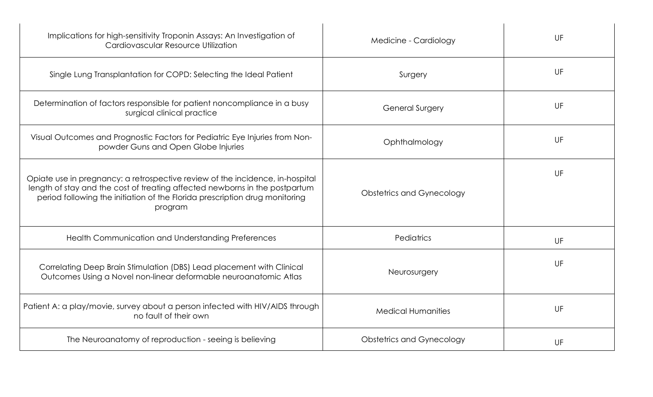| Implications for high-sensitivity Troponin Assays: An Investigation of<br>Cardiovascular Resource Utilization                                                                                                                                          | Medicine - Cardiology            | UF |
|--------------------------------------------------------------------------------------------------------------------------------------------------------------------------------------------------------------------------------------------------------|----------------------------------|----|
| Single Lung Transplantation for COPD: Selecting the Ideal Patient                                                                                                                                                                                      | Surgery                          | UF |
| Determination of factors responsible for patient noncompliance in a busy<br>surgical clinical practice                                                                                                                                                 | <b>General Surgery</b>           | UF |
| Visual Outcomes and Prognostic Factors for Pediatric Eye Injuries from Non-<br>powder Guns and Open Globe Injuries                                                                                                                                     | Ophthalmology                    | UF |
| Opiate use in pregnancy: a retrospective review of the incidence, in-hospital<br>length of stay and the cost of treating affected newborns in the postpartum<br>period following the initiation of the Florida prescription drug monitoring<br>program | <b>Obstetrics and Gynecology</b> | UF |
| Health Communication and Understanding Preferences                                                                                                                                                                                                     | <b>Pediatrics</b>                | UF |
| Correlating Deep Brain Stimulation (DBS) Lead placement with Clinical<br>Outcomes Using a Novel non-linear deformable neuroanatomic Atlas                                                                                                              | Neurosurgery                     | UF |
| Patient A: a play/movie, survey about a person infected with HIV/AIDS through<br>no fault of their own                                                                                                                                                 | <b>Medical Humanities</b>        | UF |
| The Neuroanatomy of reproduction - seeing is believing                                                                                                                                                                                                 | <b>Obstetrics and Gynecology</b> | UF |